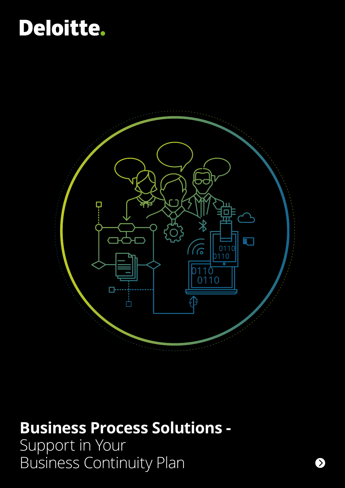# Deloitte.



# **Business Process Solutions -**

Support in Your Business Continuity Plan